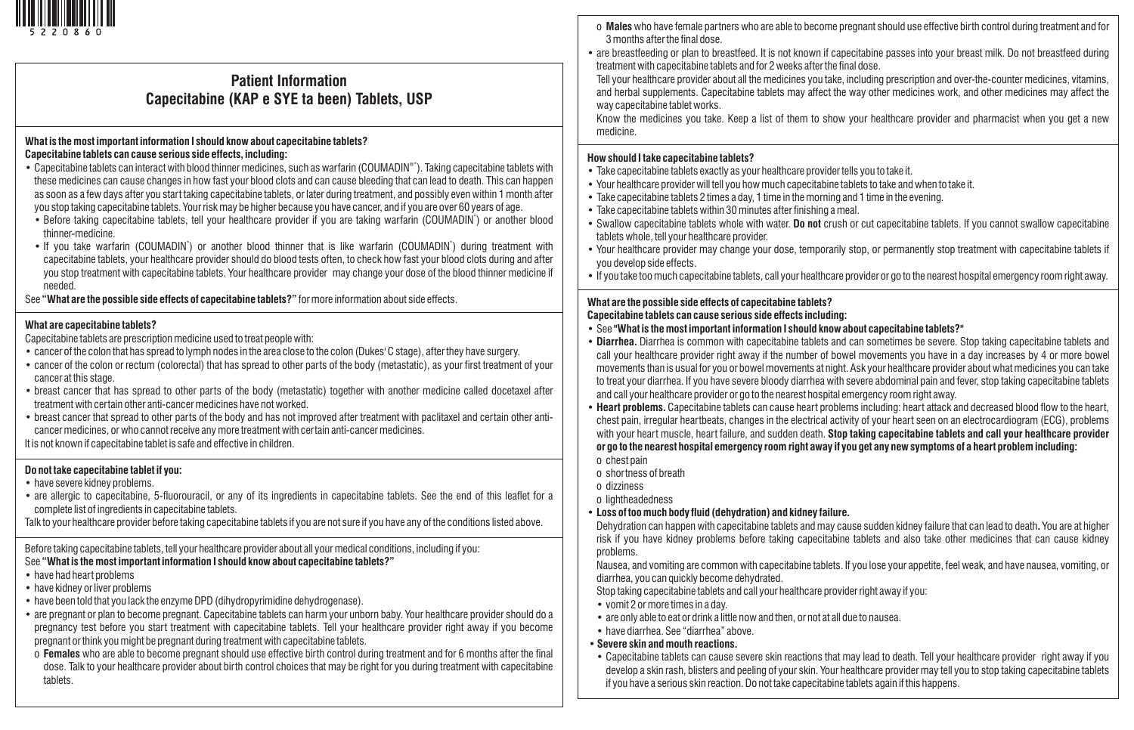

# **Patient Information Capecitabine (KAP e SYE ta been) Tablets, USP**

#### **What is the most important information I should know about capecitabine tablets? Capecitabine tablets can cause serious side effects, including:**

- Capecitabine tablets can interact with blood thinner medicines, such as warfarin (COUMADIN®\*). Taking capecitabine tablets with these medicines can cause changes in how fast your blood clots and can cause bleeding that can lead to death. This can happen as soon as a few days after you start taking capecitabine tablets, or later during treatment, and possibly even within 1 month after you stop taking capecitabine tablets. Your risk may be higher because you have cancer, and if you are over 60 years of age.
- Before taking capecitabine tablets, tell your healthcare provider if you are taking warfarin (COUMADIN') or another blood thinner-medicine.
- If you take warfarin (COUMADIN<sup>\*</sup>) or another blood thinner that is like warfarin (COUMADIN<sup>\*</sup>) during treatment with capecitabine tablets, your healthcare provider should do blood tests often, to check how fast your blood clots during and after you stop treatment with capecitabine tablets. Your healthcare provider may change your dose of the blood thinner medicine if needed.

See **"What are the possible side effects of capecitabine tablets?"** for more information about side effects.

### **What are capecitabine tablets?**

Capecitabine tablets are prescription medicine used to treat people with:

- cancer of the colon that has spread to lymph nodes in the area close to the colon (Dukes' C stage), after they have surgery.
- cancer of the colon or rectum (colorectal) that has spread to other parts of the body (metastatic), as your first treatment of your cancer at this stage.
- breast cancer that has spread to other parts of the body (metastatic) together with another medicine called docetaxel after treatment with certain other anti-cancer medicines have not worked.
- breast cancer that spread to other parts of the body and has not improved after treatment with paclitaxel and certain other anticancer medicines, or who cannot receive any more treatment with certain anti-cancer medicines.

It is not known if capecitabine tablet is safe and effective in children.

### **Do not take capecitabine tablet if you:**

- have severe kidney problems.
- are allergic to capecitabine, 5-fluorouracil, or any of its ingredients in capecitabine tablets. See the end of this leaflet for a complete list of ingredients in capecitabine tablets.
- Talk to your healthcare provider before taking capecitabine tablets if you are not sure if you have any of the conditions listed above.

Before taking capecitabine tablets, tell your healthcare provider about all your medical conditions, including if you: See **"What is the most important information I should know about capecitabine tablets?"**

- have had heart problems
- have kidney or liver problems
- have been told that you lack the enzyme DPD (dihydropyrimidine dehydrogenase).
- are pregnant or plan to become pregnant. Capecitabine tablets can harm your unborn baby. Your healthcare provider should do a pregnancy test before you start treatment with capecitabine tablets. Tell your healthcare provider right away if you become pregnant or think you might be pregnant during treatment with capecitabine tablets.
- o **Females** who are able to become pregnant should use effective birth control during treatment and for 6 months after the final dose. Talk to your healthcare provider about birth control choices that may be right for you during treatment with capecitabine tablets.
- o **Males**who have female partners who are able to become pregnant should use effective birth control during treatment and for 3 months after the final dose.
- are breastfeeding or plan to breastfeed. It is not known if capecitabine passes into your breast milk. Do not breastfeed during treatment with capecitabine tablets and for 2 weeks after the final dose.
- Tell your healthcare provider about all the medicines you take, including prescription and over-the-counter medicines, vitamins, and herbal supplements. Capecitabine tablets may affect the way other medicines work, and other medicines may affect the way capecitabine tablet works.

Know the medicines you take. Keep a list of them to show your healthcare provider and pharmacist when you get a new medicine.

#### **How should I take capecitabine tablets?**

- Take capecitabine tablets exactly as your healthcare provider tells you to take it.
- Your healthcare provider will tell you how much capecitabine tablets to take and when to take it.
- Take capecitabine tablets 2 times a day, 1 time in the morning and 1 time in the evening.
- Take capecitabine tablets within 30 minutes after finishing a meal.
- Swallow capecitabine tablets whole with water. **Do not** crush or cut capecitabine tablets. If you cannot swallow capecitabine tablets whole, tell your healthcare provider.
- Your healthcare provider may change your dose, temporarily stop, or permanently stop treatment with capecitabine tablets if you develop side effects.
- If you take too much capecitabine tablets, call your healthcare provider or go to the nearest hospital emergency room right away.

## **What are the possible side effects of capecitabine tablets?**

### **Capecitabine tablets can cause serious side effects including:**

- See **"What is the most important information I should know about capecitabine tablets?"**
- **Diarrhea.** Diarrhea is common with capecitabine tablets and can sometimes be severe. Stop taking capecitabine tablets and call your healthcare provider right away if the number of bowel movements you have in a day increases by 4 or more bowel movements than is usual for you or bowel movements at night. Ask your healthcare provider about what medicines you can take to treat your diarrhea. If you have severe bloody diarrhea with severe abdominal pain and fever, stop taking capecitabine tablets and call your healthcare provider or go to the nearest hospital emergency room right away.
- **Heart problems.** Capecitabine tablets can cause heart problems including: heart attack and decreased blood flow to the heart, chest pain, irregular heartbeats, changes in the electrical activity of your heart seen on an electrocardiogram (ECG), problems with your heart muscle, heart failure, and sudden death. **Stop taking capecitabine tablets and call your healthcare provider or go to the nearest hospital emergency room right away if you get any new symptoms of a heart problem including:**
- o chest pain
- o shortness of breath
- o dizziness
- o lightheadedness
- **Loss of too much body fluid (dehydration) and kidney failure.**

Dehydration can happen with capecitabine tablets and may cause sudden kidney failure that can lead to death**.** You are at higher risk if you have kidney problems before taking capecitabine tablets and also take other medicines that can cause kidney problems.

Nausea, and vomiting are common with capecitabine tablets. If you lose your appetite, feel weak, and have nausea, vomiting, or diarrhea, you can quickly become dehydrated.

- Stop taking capecitabine tablets and call your healthcare provider right away if you:
- vomit 2 or more times in a day.
- are only able to eat or drink a little now and then, or not at all due to nausea.
- have diarrhea. See "diarrhea" above.
- **Severe skin and mouth reactions.**
- Capecitabine tablets can cause severe skin reactions that may lead to death. Tell your healthcare provider right away if you develop a skin rash, blisters and peeling of your skin. Your healthcare provider may tell you to stop taking capecitabine tablets if you have a serious skin reaction. Do not take capecitabine tablets again if this happens.